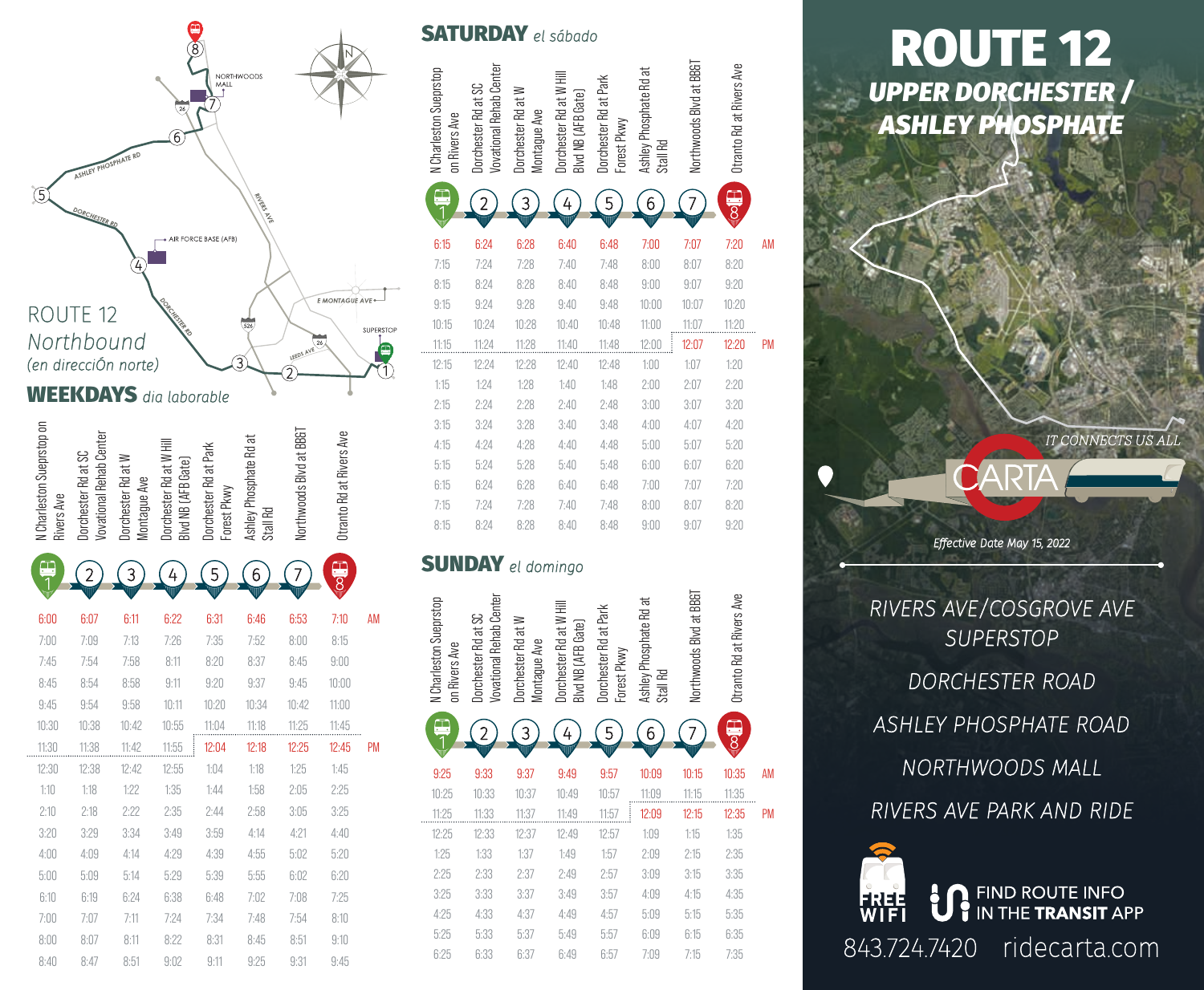

| <b>RDAY</b> el sábado                   |                                                       |                                    |                                                                  |                                      |                                    |                         |                                             |           |  |  |
|-----------------------------------------|-------------------------------------------------------|------------------------------------|------------------------------------------------------------------|--------------------------------------|------------------------------------|-------------------------|---------------------------------------------|-----------|--|--|
| N Charleston Sueprstop<br>on Rivers Ave | <b>Vovational Rehab Center</b><br>Dorchester Rd at SC | Dorchester Rd at W<br>Montague Ave | Dorchester Rd at W Hill<br>Blvd NB (AFB Gate)                    | Dorchester Rd at Park<br>Forest Pkwy | Ashley Phosphate Rd at<br>Stall Rd | Northwoods Blvd at BB&T | Otranto Rd at Rivers Ave                    |           |  |  |
| à                                       |                                                       | 3                                  | 4                                                                | 5                                    | 6                                  |                         | $\frac{\Box}{\partial \overline{\partial}}$ |           |  |  |
| 6:15                                    | 6:24                                                  | 6:28                               | 6:40                                                             | 6:48                                 | 7:00                               | 7:07                    | 7:20                                        | AM        |  |  |
| 7:15                                    | 7:24                                                  | 7:28                               | 7:40                                                             | 7:48                                 | 8:00                               | 8:07                    | 8:20                                        |           |  |  |
| 8:15                                    | 8:24                                                  | 8:28                               | 8:40                                                             | 8:48                                 | 9:00                               | 9:07                    | 9:20                                        |           |  |  |
| 9:15                                    | 9:24                                                  | 9:28                               | 9:40                                                             | 9:48                                 | 10:00                              | 10:07                   | 10:20                                       |           |  |  |
| 10:15                                   | 10:24                                                 | 10:28                              | 10:40                                                            | 10:48                                | 11:00                              | 11:07                   | 11:20                                       |           |  |  |
| 11:15                                   | 11:24                                                 | 11:28                              | 11:40                                                            | 11:48                                | 12:00                              | 12:07                   | 12:20                                       | <b>PM</b> |  |  |
| 12:15                                   | 12:24                                                 | 12:28                              | 12:40                                                            | 12:48                                | 1:00                               | 1:07                    | 1:20                                        |           |  |  |
| 1:15                                    | 1:24                                                  | 1:28                               | 1:40                                                             | 1:48                                 | 2:00                               | 2:07                    | 2:20                                        |           |  |  |
| 2:15                                    | 2:24                                                  | 2:28                               | 2:40                                                             | 2:48                                 | 3:00                               | 3:07                    | 3:20                                        |           |  |  |
| 3:15                                    | 3:24                                                  | 3:28                               | 3:40                                                             | 3:48                                 | 4:00                               | 4:07                    | 4:20                                        |           |  |  |
| 4:15                                    | 4:24                                                  | 4:28                               | 4:40                                                             | 4:48                                 | 5:00                               | 5:07                    | 5:20                                        |           |  |  |
| 5:15                                    | 5:24                                                  | 5:28                               | 5:40                                                             | 5:48                                 | 6:00                               | 6:07                    | 6:20                                        |           |  |  |
| 6:15                                    | 6:24                                                  | 6:28                               | 6:40                                                             | 6:48                                 | 7:00                               | 7:07                    | 7:20                                        |           |  |  |
| 7:15                                    | 7:24                                                  | 7:28                               | 7:40                                                             | 7:48                                 | 8:00                               | 8:07                    | 8:20                                        |           |  |  |
| 8:15                                    | 8:24                                                  | 8:28                               | 8:40                                                             | 8:48                                 | 9:00                               | 9:07                    | 9:20                                        |           |  |  |
|                                         |                                                       | $\mathbf{DAY}$ el domingo          |                                                                  |                                      |                                    |                         |                                             |           |  |  |
|                                         |                                                       |                                    |                                                                  |                                      |                                    |                         |                                             |           |  |  |
| Charleston Sueprstop<br>Rivers Ave      | vational Rehab Center<br>Dorchester Rd at SC          |                                    |                                                                  |                                      |                                    | rthwoods Blvd at BBG    | ranto Rd at Rivers Ave                      |           |  |  |
| 등                                       | Š                                                     | Dorchester Rd at W<br>Montague Ave | Dorchester Rd at W Hil<br>Blvd NB (AFB Gate)<br>rd NB (AFB Gate) | Dorchester Rd at Park<br>Forest Pkwy | Ashley Phosphate Rd at<br>Stall Rd | ₽                       | 흉                                           |           |  |  |
| $\equiv$                                |                                                       | 3                                  | 4                                                                | 5                                    | 6                                  |                         |                                             |           |  |  |
|                                         |                                                       |                                    |                                                                  |                                      |                                    |                         |                                             |           |  |  |
| 9:25                                    | 9:33                                                  | 9:37                               | 9:49                                                             | 9:57                                 | 10:09                              | 10:15                   | 10:35                                       | AM        |  |  |
| 10:25                                   | 10:33                                                 | 10:37                              | 10:49                                                            | 10:57                                | 11:09                              | 11:15                   | 11:35                                       |           |  |  |
| 11:25                                   | 11:33                                                 | 11:37                              | 11:49                                                            | 11:57                                | 12:09                              | 12:15                   | 12:35                                       | PM        |  |  |
| 12:25                                   | 12:33                                                 | 12:37                              | 12:49                                                            | 12:57                                | 1:09                               | 1:15                    | 1:35                                        |           |  |  |
| 1:25                                    | 1:33                                                  | 1:37                               | 1:49                                                             | 1:57                                 | 2:09                               | 2:15                    | 2:35                                        |           |  |  |
| 2:25                                    | 2:33                                                  | 2:37                               | 2:49                                                             | 2:57                                 | 3:09                               | 3:15                    | 3:35                                        |           |  |  |
| 3:25                                    | 3:33                                                  | 3:37                               | 3:49                                                             | 3:57                                 | 4:09                               | 4:15                    | 4:35                                        |           |  |  |
| 4:25                                    | 4:33                                                  | 4:37                               | 4:49                                                             | 4:57                                 | 5:09                               | 5:15                    | 5:35                                        |           |  |  |
| 5:25<br>6:25                            | 5:33<br>6:33                                          | 5:37<br>6:37                       | 5:49<br>6:49                                                     | 5:57<br>6:57                         | 6:09<br>7:09                       | 6:15<br>7:15            | 6:35<br>7:35                                |           |  |  |

# *UPPER DORCHESTER / ASHLEY PHOSPHATE* ROUTE 12

*Effective Date May 15, 2022*

IT CONNECTS US ALL

*RIVERS AVE/COSGROVE AVE SUPERSTOP DORCHESTER ROAD ASHLEY PHOSPHATE ROAD NORTHWOODS MALL RIVERS AVE PARK AND RIDE*

843.724.7420 ridecarta.com

**in FIND ROUTE INFO**